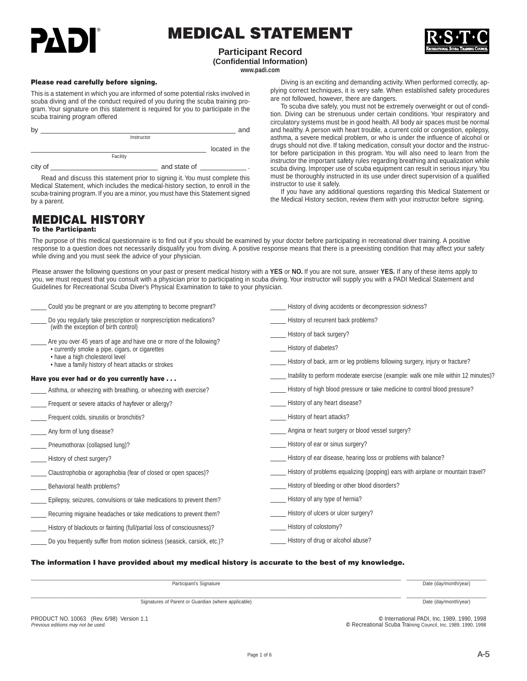

# **MEDICAL STATEMENT**



#### **Participant Record (Confidential Information)**

**www.padi.com**

#### **Please read carefully before signing.**

This is a statement in which you are informed of some potential risks involved in scuba diving and of the conduct required of you during the scuba training program. Your signature on this statement is required for you to participate in the scuba training program offered

|         |            |              | and            |
|---------|------------|--------------|----------------|
|         | Instructor |              |                |
|         |            |              | located in the |
|         | Facility   |              |                |
| city of |            | and state of |                |

Read and discuss this statement prior to signing it. You must complete this Medical Statement, which includes the medical-history section, to enroll in the scuba-training program. If you are a minor, you must have this Statement signed by a parent.

Diving is an exciting and demanding activity. When performed correctly, applying correct techniques, it is very safe. When established safety procedures are not followed, however, there are dangers.

To scuba dive safely, you must not be extremely overweight or out of condition. Diving can be strenuous under certain conditions. Your respiratory and circulatory systems must be in good health. All body air spaces must be normal and healthy. A person with heart trouble, a current cold or congestion, epilepsy, asthma, a severe medical problem, or who is under the influence of alcohol or drugs should not dive. If taking medication, consult your doctor and the instructor before participation in this program. You will also need to learn from the instructor the important safety rules regarding breathing and equalization while scuba diving. Improper use of scuba equipment can result in serious injury. You must be thoroughly instructed in its use under direct supervision of a qualified instructor to use it safely.

If you have any additional questions regarding this Medical Statement or the Medical History section, review them with your instructor before signing.

## **MEDICAL HISTORY**

#### **To the Participant:**

The purpose of this medical questionnaire is to find out if you should be examined by your doctor before participating in recreational diver training. A positive response to a question does not necessarily disqualify you from diving. A positive response means that there is a preexisting condition that may affect your safety while diving and you must seek the advice of your physician.

Please answer the following questions on your past or present medical history with a **YES** or **NO.** If you are not sure, answer **YES.** If any of these items apply to you, we must request that you consult with a physician prior to participating in scuba diving. Your instructor will supply you with a PADI Medical Statement and Guidelines for Recreational Scuba Diver's Physical Examination to take to your physician.

| Could you be pregnant or are you attempting to become pregnant?                                             | History of diving accidents or decompression sickness?                             |
|-------------------------------------------------------------------------------------------------------------|------------------------------------------------------------------------------------|
| Do you regularly take prescription or nonprescription medications?<br>(with the exception of birth control) | History of recurrent back problems?                                                |
| Are you over 45 years of age and have one or more of the following?                                         | History of back surgery?                                                           |
| • currently smoke a pipe, cigars, or cigarettes                                                             | History of diabetes?                                                               |
| • have a high cholesterol level<br>• have a family history of heart attacks or strokes                      | History of back, arm or leg problems following surgery, injury or fracture?        |
| Have you ever had or do you currently have                                                                  | Inability to perform moderate exercise (example: walk one mile within 12 minutes)? |
| Asthma, or wheezing with breathing, or wheezing with exercise?                                              | History of high blood pressure or take medicine to control blood pressure?         |
| Frequent or severe attacks of hayfever or allergy?                                                          | History of any heart disease?                                                      |
| Frequent colds, sinusitis or bronchitis?                                                                    | History of heart attacks?                                                          |
| Any form of lung disease?                                                                                   | Angina or heart surgery or blood vessel surgery?                                   |
| Pneumothorax (collapsed lung)?                                                                              | History of ear or sinus surgery?                                                   |
| History of chest surgery?                                                                                   | History of ear disease, hearing loss or problems with balance?                     |
| Claustrophobia or agoraphobia (fear of closed or open spaces)?                                              | History of problems equalizing (popping) ears with airplane or mountain travel?    |
| Behavioral health problems?                                                                                 | History of bleeding or other blood disorders?                                      |
| Epilepsy, seizures, convulsions or take medications to prevent them?                                        | History of any type of hernia?                                                     |
| Recurring migraine headaches or take medications to prevent them?                                           | History of ulcers or ulcer surgery?                                                |
| History of blackouts or fainting (full/partial loss of consciousness)?                                      | History of colostomy?                                                              |
| Do you frequently suffer from motion sickness (seasick, carsick, etc.)?                                     | History of drug or alcohol abuse?                                                  |

#### **The information I have provided about my medical history is accurate to the best of my knowledge.**

\_\_\_\_\_\_\_\_\_\_\_\_\_\_\_\_\_\_\_\_\_\_\_\_\_\_\_\_\_\_\_\_\_\_\_\_\_\_\_\_\_\_\_\_\_\_\_\_\_\_\_\_\_\_\_\_\_\_\_\_\_\_\_\_\_\_\_\_\_\_\_\_\_\_\_\_\_\_\_\_\_\_\_\_\_\_\_\_\_\_\_\_\_\_\_\_\_\_\_\_\_\_\_\_\_\_\_\_\_\_\_\_\_\_\_\_\_\_\_\_\_\_\_\_\_\_\_\_\_\_\_\_\_\_\_\_\_\_\_ \_\_\_\_\_\_\_\_\_\_\_\_\_\_\_\_\_\_\_\_\_\_\_\_\_\_\_\_\_\_ Participant's Signature Date (day/month/year) \_\_\_\_\_\_\_\_\_\_\_\_\_\_\_\_\_\_\_\_\_\_\_\_\_\_\_\_\_\_\_\_\_\_\_\_\_\_\_\_\_\_\_\_\_\_\_\_\_\_\_\_\_\_\_\_\_\_\_\_\_\_\_\_\_\_\_\_\_\_\_\_\_\_\_\_\_\_\_\_\_\_\_\_\_\_\_\_\_\_\_\_\_\_\_\_\_\_\_\_\_\_\_\_\_\_\_\_\_\_\_\_\_\_\_\_\_\_\_\_\_\_\_\_\_\_\_\_\_\_\_\_\_\_\_\_\_\_\_ \_\_\_\_\_\_\_\_\_\_\_\_\_\_\_\_\_\_\_\_\_\_\_\_\_\_\_\_\_\_ Signatures of Parent or Guardian (where applicable) Date (day/month/year) Date (day/month/year)

PRODUCT NO. 10063 (Rev. 6/98) Version 1.1 **©** International PADI, Inc. 1989, 1990, 1998  $©$  Recreational Scuba Training Council, Inc. 1989, 1990, 1998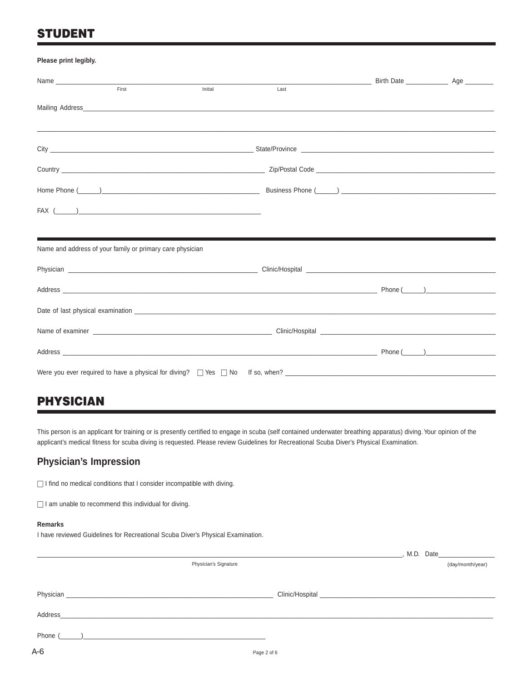## **STUDENT**

| Please print legibly.                                     |       |         |                                                                                                                                                                                                                                      |  |  |  |
|-----------------------------------------------------------|-------|---------|--------------------------------------------------------------------------------------------------------------------------------------------------------------------------------------------------------------------------------------|--|--|--|
|                                                           | First | Initial | Last                                                                                                                                                                                                                                 |  |  |  |
|                                                           |       |         | Mailing Address <b>Contract Contract Contract Contract Contract Contract Contract Contract Contract Contract Contract Contract Contract Contract Contract Contract Contract Contract Contract Contract Contract Contract Contrac</b> |  |  |  |
|                                                           |       |         |                                                                                                                                                                                                                                      |  |  |  |
|                                                           |       |         |                                                                                                                                                                                                                                      |  |  |  |
|                                                           |       |         |                                                                                                                                                                                                                                      |  |  |  |
|                                                           |       |         |                                                                                                                                                                                                                                      |  |  |  |
|                                                           |       |         |                                                                                                                                                                                                                                      |  |  |  |
| Name and address of your family or primary care physician |       |         |                                                                                                                                                                                                                                      |  |  |  |
|                                                           |       |         |                                                                                                                                                                                                                                      |  |  |  |
|                                                           |       |         | Address Phone (2002) 2012 12:00:00 Phone (2003) 2012 12:00:00 Phone (2004) 2012 12:00:00 Phone (2004) 2012 12:00:00 Phone (2004) 2012 12:00:00 Phone (2004) 2012 12:00:00 Phone (2004) 2012 12:00:00 Phone (2004) 2012 12:00:0       |  |  |  |
|                                                           |       |         |                                                                                                                                                                                                                                      |  |  |  |
|                                                           |       |         |                                                                                                                                                                                                                                      |  |  |  |
|                                                           |       |         | Address Phone (2002) Phone (2003) 2012 12:30 Phone (2003) 2012 12:30 Phone (2003) 2012 12:30 Phone (2003) 2013                                                                                                                       |  |  |  |
|                                                           |       |         |                                                                                                                                                                                                                                      |  |  |  |
|                                                           |       |         |                                                                                                                                                                                                                                      |  |  |  |

## **PHYSICIAN**

This person is an applicant for training or is presently certified to engage in scuba (self contained underwater breathing apparatus) diving. Your opinion of the applicant's medical fitness for scuba diving is requested. Please review Guidelines for Recreational Scuba Diver's Physical Examination.

### **Physician's Impression**

□ I find no medical conditions that I consider incompatible with diving.

 $\Box$  I am unable to recommend this individual for diving.

#### **Remarks**

I have reviewed Guidelines for Recreational Scuba Diver's Physical Examination.

|           |                       |                                                                       | M.D. Date |                  |
|-----------|-----------------------|-----------------------------------------------------------------------|-----------|------------------|
|           | Physician's Signature |                                                                       |           | (day/month/year) |
| Physician |                       | Clinic/Hospital<br><u> 1980 - Johann Barbara, martin amerikan per</u> |           |                  |
| Address   |                       |                                                                       |           |                  |
| Phone (   |                       |                                                                       |           |                  |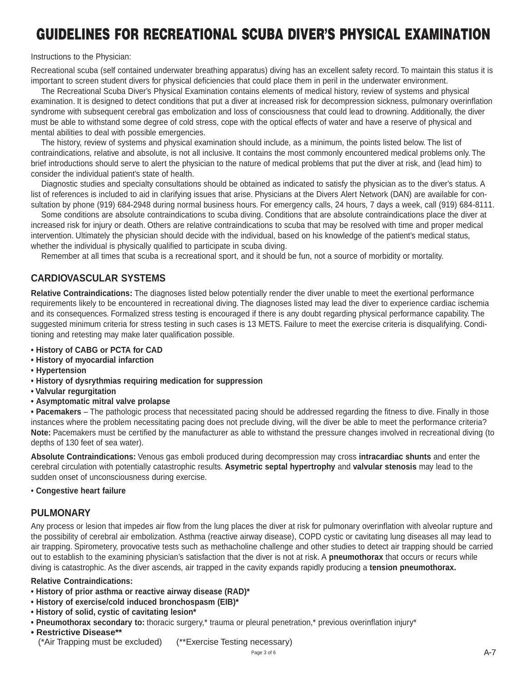# **GUIDELINES FOR RECREATIONAL SCUBA DIVER'S PHYSICAL EXAMINATION**

#### Instructions to the Physician:

Recreational scuba (self contained underwater breathing apparatus) diving has an excellent safety record. To maintain this status it is important to screen student divers for physical deficiencies that could place them in peril in the underwater environment.

The Recreational Scuba Diver's Physical Examination contains elements of medical history, review of systems and physical examination. It is designed to detect conditions that put a diver at increased risk for decompression sickness, pulmonary overinflation syndrome with subsequent cerebral gas embolization and loss of consciousness that could lead to drowning. Additionally, the diver must be able to withstand some degree of cold stress, cope with the optical effects of water and have a reserve of physical and mental abilities to deal with possible emergencies.

The history, review of systems and physical examination should include, as a minimum, the points listed below. The list of contraindications, relative and absolute, is not all inclusive. It contains the most commonly encountered medical problems only. The brief introductions should serve to alert the physician to the nature of medical problems that put the diver at risk, and (lead him) to consider the individual patient's state of health.

Diagnostic studies and specialty consultations should be obtained as indicated to satisfy the physician as to the diver's status. A list of references is included to aid in clarifying issues that arise. Physicians at the Divers Alert Network (DAN) are available for consultation by phone (919) 684-2948 during normal business hours. For emergency calls, 24 hours, 7 days a week, call (919) 684-8111.

Some conditions are absolute contraindications to scuba diving. Conditions that are absolute contraindications place the diver at increased risk for injury or death. Others are relative contraindications to scuba that may be resolved with time and proper medical intervention. Ultimately the physician should decide with the individual, based on his knowledge of the patient's medical status, whether the individual is physically qualified to participate in scuba diving.

Remember at all times that scuba is a recreational sport, and it should be fun, not a source of morbidity or mortality.

### **CARDIOVASCULAR SYSTEMS**

**Relative Contraindications:** The diagnoses listed below potentially render the diver unable to meet the exertional performance requirements likely to be encountered in recreational diving. The diagnoses listed may lead the diver to experience cardiac ischemia and its consequences. Formalized stress testing is encouraged if there is any doubt regarding physical performance capability. The suggested minimum criteria for stress testing in such cases is 13 METS. Failure to meet the exercise criteria is disqualifying. Conditioning and retesting may make later qualification possible.

#### **• History of CABG or PCTA for CAD**

- **History of myocardial infarction**
- **Hypertension**
- **History of dysrythmias requiring medication for suppression**
- **Valvular regurgitation**
- **Asymptomatic mitral valve prolapse**

**• Pacemakers** – The pathologic process that necessitated pacing should be addressed regarding the fitness to dive. Finally in those instances where the problem necessitating pacing does not preclude diving, will the diver be able to meet the performance criteria? **Note:** Pacemakers must be certified by the manufacturer as able to withstand the pressure changes involved in recreational diving (to depths of 130 feet of sea water).

**Absolute Contraindications:** Venous gas emboli produced during decompression may cross **intracardiac shunts** and enter the cerebral circulation with potentially catastrophic results. **Asymetric septal hypertrophy** and **valvular stenosis** may lead to the sudden onset of unconsciousness during exercise.

#### • **Congestive heart failure**

### **PULMONARY**

Any process or lesion that impedes air flow from the lung places the diver at risk for pulmonary overinflation with alveolar rupture and the possibility of cerebral air embolization. Asthma (reactive airway disease), COPD cystic or cavitating lung diseases all may lead to air trapping. Spirometery, provocative tests such as methacholine challenge and other studies to detect air trapping should be carried out to establish to the examining physician's satisfaction that the diver is not at risk. A **pneumothorax** that occurs or recurs while diving is catastrophic. As the diver ascends, air trapped in the cavity expands rapidly producing a **tension pneumothorax.**

#### **Relative Contraindications:**

- **History of prior asthma or reactive airway disease (RAD)\***
- **History of exercise/cold induced bronchospasm (EIB)\***
- **History of solid, cystic of cavitating lesion\***
- **Pneumothorax secondary to:** thoracic surgery,\* trauma or pleural penetration,\* previous overinflation injury\*
- **Restrictive Disease\*\***
	- (\*Air Trapping must be excluded) (\*\*Exercise Testing necessary)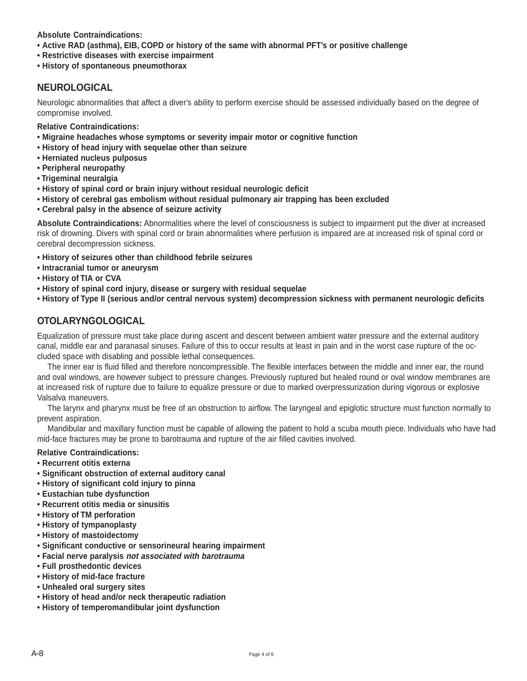**Absolute Contraindications:**

- **Active RAD (asthma), EIB, COPD or history of the same with abnormal PFT's or positive challenge**
- **Restrictive diseases with exercise impairment**
- **History of spontaneous pneumothorax**

### **NEUROLOGICAL**

Neurologic abnormalities that affect a diver's ability to perform exercise should be assessed individually based on the degree of compromise involved.

**Relative Contraindications:**

- **Migraine headaches whose symptoms or severity impair motor or cognitive function**
- **History of head injury with sequelae other than seizure**
- **Herniated nucleus pulposus**
- **Peripheral neuropathy**
- **Trigeminal neuralgia**
- **History of spinal cord or brain injury without residual neurologic deficit**
- **History of cerebral gas embolism without residual pulmonary air trapping has been excluded**
- **Cerebral palsy in the absence of seizure activity**

**Absolute Contraindications:** Abnormalities where the level of consciousness is subject to impairment put the diver at increased risk of drowning. Divers with spinal cord or brain abnormalities where perfusion is impaired are at increased risk of spinal cord or cerebral decompression sickness.

- **History of seizures other than childhood febrile seizures**
- **Intracranial tumor or aneurysm**
- **History of TIA or CVA**
- **History of spinal cord injury, disease or surgery with residual sequelae**
- **History of Type II (serious and/or central nervous system) decompression sickness with permanent neurologic deficits**

### **OTOLARYNGOLOGICAL**

Equalization of pressure must take place during ascent and descent between ambient water pressure and the external auditory canal, middle ear and paranasal sinuses. Failure of this to occur results at least in pain and in the worst case rupture of the occluded space with disabling and possible lethal consequences.

The inner ear is fluid filled and therefore noncompressible. The flexible interfaces between the middle and inner ear, the round and oval windows, are however subject to pressure changes. Previously ruptured but healed round or oval window membranes are at increased risk of rupture due to failure to equalize pressure or due to marked overpressurization during vigorous or explosive Valsalva maneuvers.

The larynx and pharynx must be free of an obstruction to airflow. The laryngeal and epiglotic structure must function normally to prevent aspiration.

Mandibular and maxillary function must be capable of allowing the patient to hold a scuba mouth piece. Individuals who have had mid-face fractures may be prone to barotrauma and rupture of the air filled cavities involved.

#### **Relative Contraindications:**

#### **• Recurrent otitis externa**

- **Significant obstruction of external auditory canal**
- **History of significant cold injury to pinna**
- **Eustachian tube dysfunction**
- **Recurrent otitis media or sinusitis**
- **History of TM perforation**
- **History of tympanoplasty**
- **History of mastoidectomy**
- **Significant conductive or sensorineural hearing impairment**
- **Facial nerve paralysis not associated with barotrauma**
- **Full prosthedontic devices**
- **History of mid-face fracture**
- **Unhealed oral surgery sites**
- **History of head and/or neck therapeutic radiation**
- **History of temperomandibular joint dysfunction**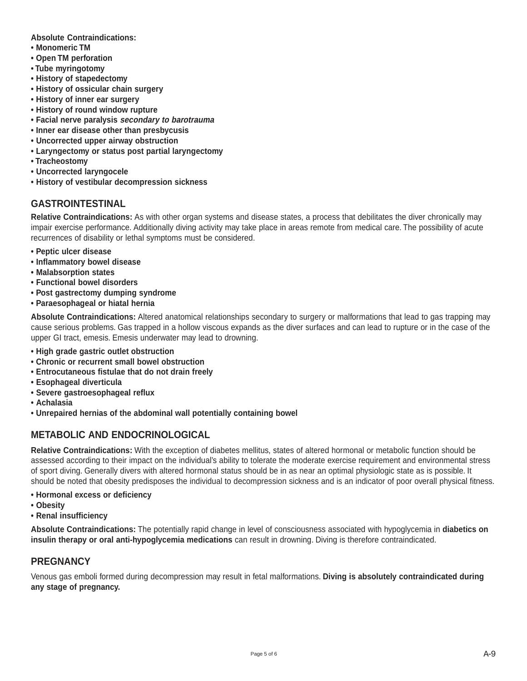**Absolute Contraindications:**

- **Monomeric TM**
- **Open TM perforation**
- **Tube myringotomy**
- **History of stapedectomy**
- **History of ossicular chain surgery**
- **History of inner ear surgery**
- **History of round window rupture**
- **Facial nerve paralysis secondary to barotrauma**
- **Inner ear disease other than presbycusis**
- **Uncorrected upper airway obstruction**
- **Laryngectomy or status post partial laryngectomy**
- **Tracheostomy**
- **Uncorrected laryngocele**
- **History of vestibular decompression sickness**

### **GASTROINTESTINAL**

**Relative Contraindications:** As with other organ systems and disease states, a process that debilitates the diver chronically may impair exercise performance. Additionally diving activity may take place in areas remote from medical care. The possibility of acute recurrences of disability or lethal symptoms must be considered.

- **Peptic ulcer disease**
- **Inflammatory bowel disease**
- **Malabsorption states**
- **Functional bowel disorders**
- **Post gastrectomy dumping syndrome**
- **Paraesophageal or hiatal hernia**

**Absolute Contraindications:** Altered anatomical relationships secondary to surgery or malformations that lead to gas trapping may cause serious problems. Gas trapped in a hollow viscous expands as the diver surfaces and can lead to rupture or in the case of the upper GI tract, emesis. Emesis underwater may lead to drowning.

- **High grade gastric outlet obstruction**
- **Chronic or recurrent small bowel obstruction**
- **Entrocutaneous fistulae that do not drain freely**
- **Esophageal diverticula**
- **Severe gastroesophageal reflux**
- **Achalasia**
- **Unrepaired hernias of the abdominal wall potentially containing bowel**

### **METABOLIC AND ENDOCRINOLOGICAL**

**Relative Contraindications:** With the exception of diabetes mellitus, states of altered hormonal or metabolic function should be assessed according to their impact on the individual's ability to tolerate the moderate exercise requirement and environmental stress of sport diving. Generally divers with altered hormonal status should be in as near an optimal physiologic state as is possible. It should be noted that obesity predisposes the individual to decompression sickness and is an indicator of poor overall physical fitness.

- **Hormonal excess or deficiency**
- **Obesity**
- **Renal insufficiency**

**Absolute Contraindications:** The potentially rapid change in level of consciousness associated with hypoglycemia in **diabetics on insulin therapy or oral anti-hypoglycemia medications** can result in drowning. Diving is therefore contraindicated.

### **PREGNANCY**

Venous gas emboli formed during decompression may result in fetal malformations. **Diving is absolutely contraindicated during any stage of pregnancy.**